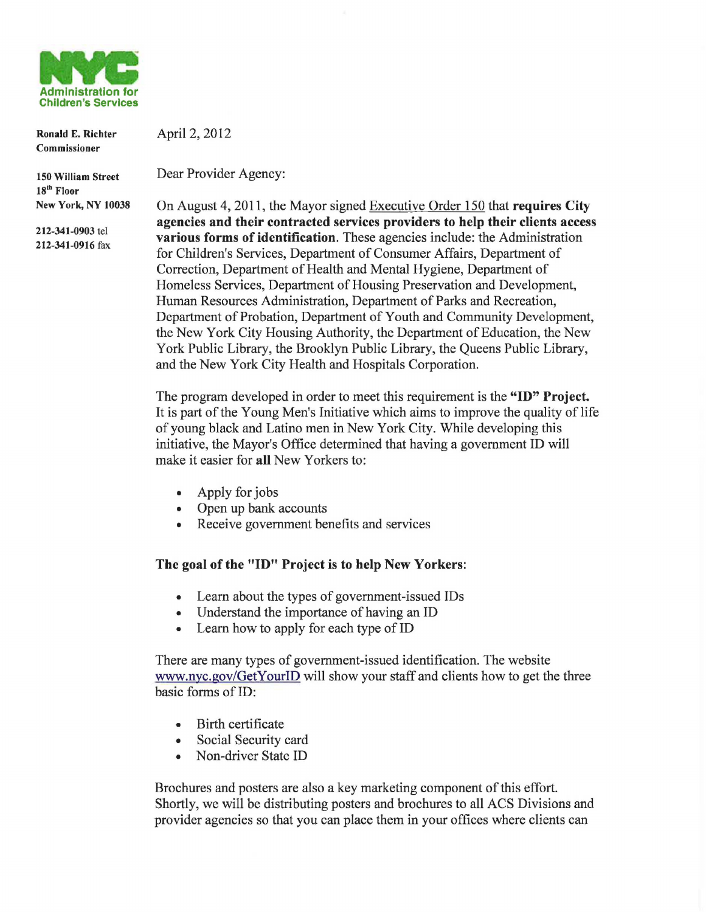

Ronald E. Richter Commissioner

April 2, 2012

150 William Street 18<sup>th</sup> Floor New York, NY 10038

212-341-0903 tel 212-341-0916 fax Dear Provider Agency:

On August 4, 2011, the Mayor signed Executive Order 150 that requires City agencies and their contracted services providers to help their clients access various forms of identification. These agencies include: the Administration for Children's Services, Department of Consumer Affairs, Department of Correction, Department of Health and Mental Hygiene, Department of Homeless Services, Department of Housing Preservation and Development, Human Resources Administration, Department of Parks and Recreation, Department of Probation, Department of Youth and Community Development, the New York City Housing Authority, the Department of Education, the New York Public Library, the Brooklyn Public Library, the Queens Public Library, and the New York City Health and Hospitals Corporation.

The program developed in order to meet this requirement is the "ID" Project. It is part of the Young Men's Initiative which aims to improve the quality of life of young black and Latino men in New York City. While developing this initiative, the Mayor's Office determined that having a government ID will make it easier for all New Yorkers to:

- Apply for jobs
- Open up bank accounts
- Receive government benefits and services

## The goal of the "ID" Project is to help New Yorkers:

- Learn about the types of government-issued IDs
- Understand the importance of having an ID
- Learn how to apply for each type of ID

There are many types of government-issued identification. The website www.nyc.gov/GetYourID will show your staff and clients how to get the three basic forms of ID:

- Birth certificate
- Social Security card
- Non-driver State ID

Brochures and posters are also a key marketing component of this effort. Shortly, we will be distributing posters and brochures to all ACS Divisions and provider agencies so that you can place them in your offices where clients can